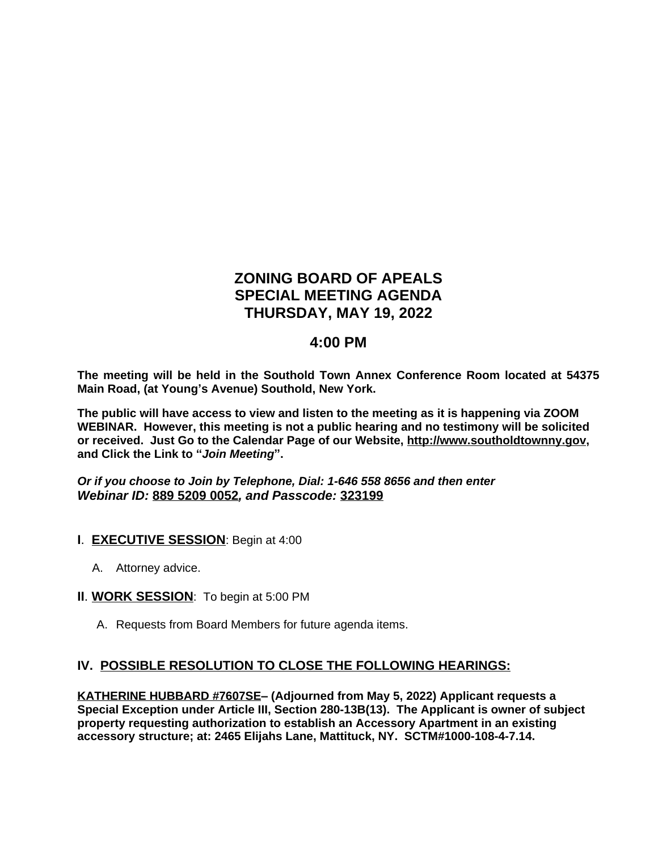# **ZONING BOARD OF APEALS SPECIAL MEETING AGENDA THURSDAY, MAY 19, 2022**

## **4:00 PM**

**The meeting will be held in the Southold Town Annex Conference Room located at 54375 Main Road, (at Young's Avenue) Southold, New York.**

**The public will have access to view and listen to the meeting as it is happening via ZOOM WEBINAR. However, this meeting is not a public hearing and no testimony will be solicited or received. Just Go to the Calendar Page of our Website, [http://www.southoldtownny.gov,](http://www.southoldtownny.gov) and Click the Link to "***Join Meeting***".**

*Or if you choose to Join by Telephone, Dial: 1-646 558 8656 and then enter Webinar ID:* **889 5209 0052***, and Passcode:* **323199**

- **I**. **EXECUTIVE SESSION**: Begin at 4:00
	- A. Attorney advice.
- **II**. **WORK SESSION**: To begin at 5:00 PM
	- A. Requests from Board Members for future agenda items.

### **IV. POSSIBLE RESOLUTION TO CLOSE THE FOLLOWING HEARINGS:**

**KATHERINE HUBBARD #7607SE– (Adjourned from May 5, 2022) Applicant requests a Special Exception under Article III, Section 280-13B(13). The Applicant is owner of subject property requesting authorization to establish an Accessory Apartment in an existing accessory structure; at: 2465 Elijahs Lane, Mattituck, NY. SCTM#1000-108-4-7.14.**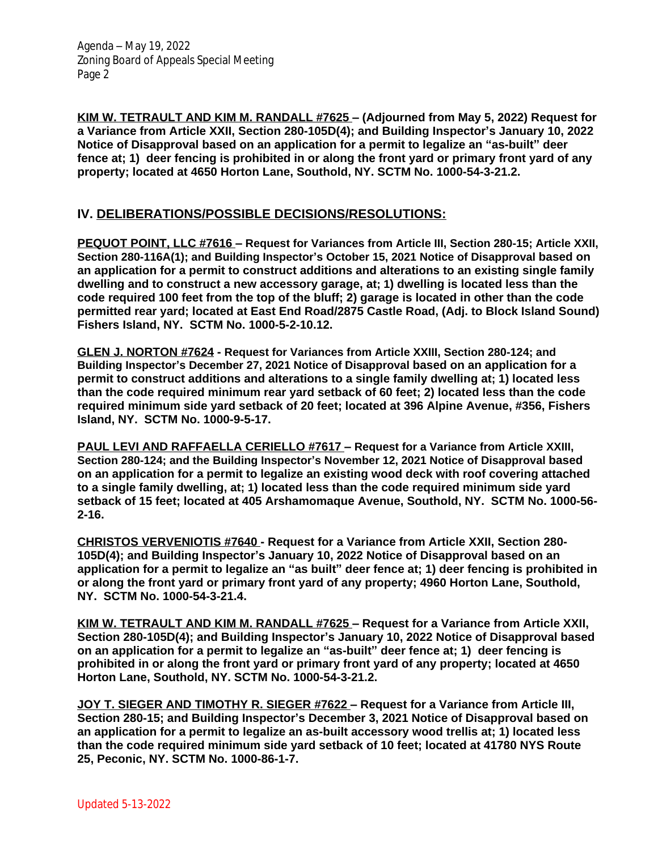Agenda – May 19, 2022 Zoning Board of Appeals Special Meeting Page 2

**KIM W. TETRAULT AND KIM M. RANDALL #7625 – (Adjourned from May 5, 2022) Request for a Variance from Article XXII, Section 280-105D(4); and Building Inspector's January 10, 2022 Notice of Disapproval based on an application for a permit to legalize an "as-built" deer fence at; 1) deer fencing is prohibited in or along the front yard or primary front yard of any property; located at 4650 Horton Lane, Southold, NY. SCTM No. 1000-54-3-21.2.**

#### **IV. DELIBERATIONS/POSSIBLE DECISIONS/RESOLUTIONS:**

**PEQUOT POINT, LLC #7616 – Request for Variances from Article III, Section 280-15; Article XXII, Section 280-116A(1); and Building Inspector's October 15, 2021 Notice of Disapproval based on an application for a permit to construct additions and alterations to an existing single family dwelling and to construct a new accessory garage, at; 1) dwelling is located less than the code required 100 feet from the top of the bluff; 2) garage is located in other than the code permitted rear yard; located at East End Road/2875 Castle Road, (Adj. to Block Island Sound) Fishers Island, NY. SCTM No. 1000-5-2-10.12.**

**GLEN J. NORTON #7624 - Request for Variances from Article XXIII, Section 280-124; and Building Inspector's December 27, 2021 Notice of Disapproval based on an application for a permit to construct additions and alterations to a single family dwelling at; 1) located less than the code required minimum rear yard setback of 60 feet; 2) located less than the code required minimum side yard setback of 20 feet; located at 396 Alpine Avenue, #356, Fishers Island, NY. SCTM No. 1000-9-5-17.**

**PAUL LEVI AND RAFFAELLA CERIELLO #7617 – Request for a Variance from Article XXIII, Section 280-124; and the Building Inspector's November 12, 2021 Notice of Disapproval based on an application for a permit to legalize an existing wood deck with roof covering attached to a single family dwelling, at; 1) located less than the code required minimum side yard setback of 15 feet; located at 405 Arshamomaque Avenue, Southold, NY. SCTM No. 1000-56- 2-16.**

**CHRISTOS VERVENIOTIS #7640 - Request for a Variance from Article XXII, Section 280- 105D(4); and Building Inspector's January 10, 2022 Notice of Disapproval based on an application for a permit to legalize an "as built" deer fence at; 1) deer fencing is prohibited in or along the front yard or primary front yard of any property; 4960 Horton Lane, Southold, NY. SCTM No. 1000-54-3-21.4.**

**KIM W. TETRAULT AND KIM M. RANDALL #7625 – Request for a Variance from Article XXII, Section 280-105D(4); and Building Inspector's January 10, 2022 Notice of Disapproval based on an application for a permit to legalize an "as-built" deer fence at; 1) deer fencing is prohibited in or along the front yard or primary front yard of any property; located at 4650 Horton Lane, Southold, NY. SCTM No. 1000-54-3-21.2.**

**JOY T. SIEGER AND TIMOTHY R. SIEGER #7622 – Request for a Variance from Article III, Section 280-15; and Building Inspector's December 3, 2021 Notice of Disapproval based on an application for a permit to legalize an as-built accessory wood trellis at; 1) located less than the code required minimum side yard setback of 10 feet; located at 41780 NYS Route 25, Peconic, NY. SCTM No. 1000-86-1-7.**